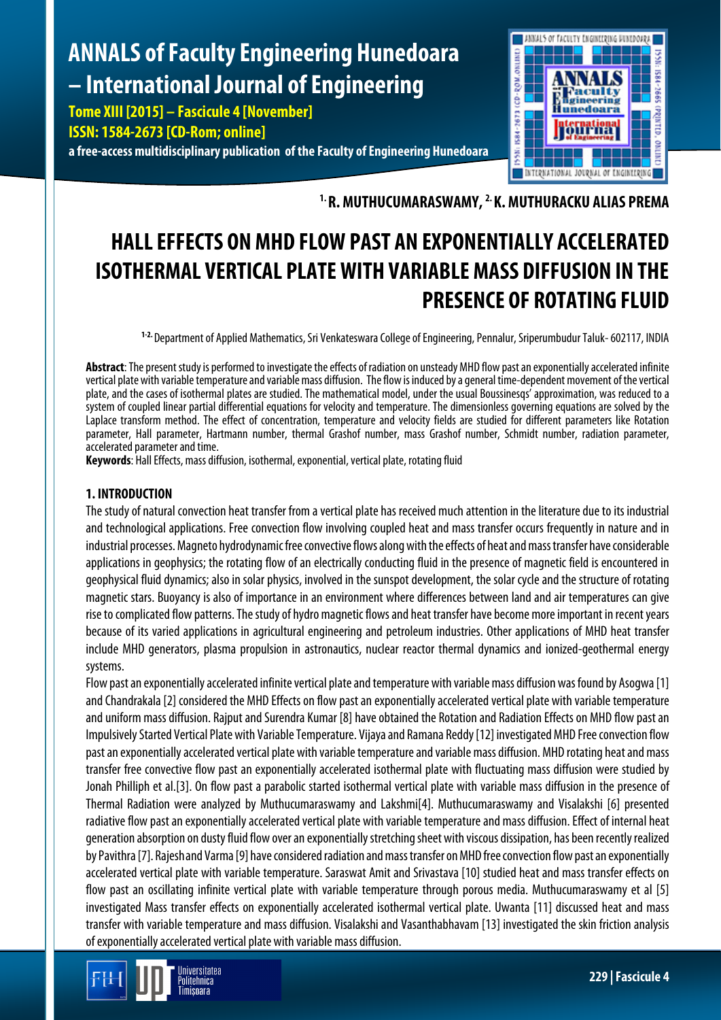# **ANNALS of Faculty Engineering Hunedoara – International Journal of Engineering**

**Tome XIII [2015] – Fascicule 4 [November] ISSN: 1584-2673 [CD-Rom; online] a free-access multidisciplinary publication of the Faculty of Engineering Hunedoara**



**1. R. MUTHUCUMARASWAMY, 2. K. MUTHURACKU ALIAS PREMA**

## **HALL EFFECTS ON MHD FLOW PAST AN EXPONENTIALLY ACCELERATED ISOTHERMAL VERTICAL PLATE WITH VARIABLE MASS DIFFUSION IN THE PRESENCE OF ROTATING FLUID**

**1-2.** Department of Applied Mathematics, Sri Venkateswara College of Engineering, Pennalur, Sriperumbudur Taluk-602117, INDIA

**Abstract**: The present study is performed to investigate the effects of radiation on unsteady MHD flow past an exponentially accelerated infinite vertical plate with variable temperature and variable mass diffusion. The flow is induced by a general time-dependent movement of the vertical plate, and the cases of isothermal plates are studied. The mathematical model, under the usual Boussinesqs' approximation, was reduced to a system of coupled linear partial differential equations for velocity and temperature. The dimensionless governing equations are solved by the Laplace transform method. The effect of concentration, temperature and velocity fields are studied for different parameters like Rotation parameter, Hall parameter, Hartmann number, thermal Grashof number, mass Grashof number, Schmidt number, radiation parameter, accelerated parameter and time.

**Keywords**: Hall Effects, mass diffusion, isothermal, exponential, vertical plate, rotating fluid

## **1. INTRODUCTION**

The study of natural convection heat transfer from a vertical plate has received much attention in the literature due to its industrial and technological applications. Free convection flow involving coupled heat and mass transfer occurs frequently in nature and in industrial processes. Magneto hydrodynamic free convective flows along with the effects of heat and mass transfer have considerable applications in geophysics; the rotating flow of an electrically conducting fluid in the presence of magnetic field is encountered in geophysical fluid dynamics; also in solar physics, involved in the sunspot development, the solar cycle and the structure of rotating magnetic stars. Buoyancy is also of importance in an environment where differences between land and air temperatures can give rise to complicated flow patterns. The study of hydro magnetic flows and heat transfer have become more important in recent years because of its varied applications in agricultural engineering and petroleum industries. Other applications of MHD heat transfer include MHD generators, plasma propulsion in astronautics, nuclear reactor thermal dynamics and ionized-geothermal energy systems.

Flow past an exponentially accelerated infinite vertical plate and temperature with variable mass diffusion was found by Asogwa [1] and Chandrakala [2] considered the MHD Effects on flow past an exponentially accelerated vertical plate with variable temperature and uniform mass diffusion. Rajput and Surendra Kumar [8] have obtained the Rotation and Radiation Effects on MHD flow past an Impulsively Started Vertical Plate with Variable Temperature. Vijaya and Ramana Reddy [12] investigated MHD Free convection flow past an exponentially accelerated vertical plate with variable temperature and variable mass diffusion. MHD rotating heat and mass transfer free convective flow past an exponentially accelerated isothermal plate with fluctuating mass diffusion were studied by Jonah Philliph et al.[3]. On flow past a parabolic started isothermal vertical plate with variable mass diffusion in the presence of Thermal Radiation were analyzed by Muthucumaraswamy and Lakshmi[4]. Muthucumaraswamy and Visalakshi [6] presented radiative flow past an exponentially accelerated vertical plate with variable temperature and mass diffusion. Effect of internal heat generation absorption on dusty fluid flow over an exponentially stretching sheet with viscous dissipation, has been recently realized by Pavithra [7]. Rajeshand Varma [9] have considered radiation and mass transfer on MHD free convection flow past an exponentially accelerated vertical plate with variable temperature. Saraswat Amit and Srivastava [10] studied heat and mass transfer effects on flow past an oscillating infinite vertical plate with variable temperature through porous media. Muthucumaraswamy et al [5] investigated Mass transfer effects on exponentially accelerated isothermal vertical plate. Uwanta [11] discussed heat and mass transfer with variable temperature and mass diffusion. Visalakshi and Vasanthabhavam [13] investigated the skin friction analysis of exponentially accelerated vertical plate with variable mass diffusion.

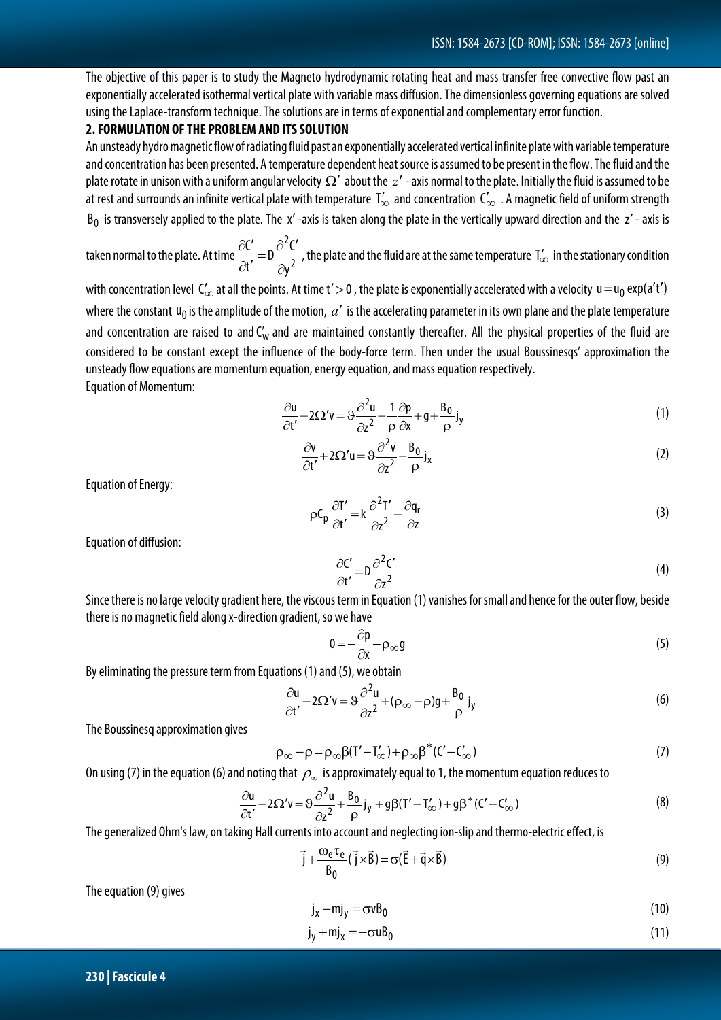The objective of this paper is to study the Magneto hydrodynamic rotating heat and mass transfer free convective flow past an exponentially accelerated isothermal vertical plate with variable mass diffusion. The dimensionless governing equations are solved using the Laplace-transform technique. The solutions are in terms of exponential and complementary error function.

## **2. FORMULATION OF THE PROBLEM AND ITS SOLUTION**

An unsteady hydro magnetic flow of radiating fluid past an exponentially accelerated vertical infinite plate with variable temperature and concentration has been presented. A temperature dependent heat source is assumed to be present in the flow. The fluid and the plate rotate in unison with a uniform angular velocity  $\Omega'$  about the *z'* - axis normal to the plate. Initially the fluid is assumed to be at rest and surrounds an infinite vertical plate with temperature  $T'_{\infty}$  and concentration  $C'_{\infty}$  . A magnetic field of uniform strength  $B_0$  is transversely applied to the plate. The x'-axis is taken along the plate in the vertically upward direction and the z'-axis is

taken normal to the plate. At time 
$$
\frac{\partial C'}{\partial t'} = D \frac{\partial^2 C'}{\partial y^2}
$$
, the plate and the fluid are at the same temperature  $T'_\infty$  in the stationary condition

with concentration level  $\mathsf{C}'_{\infty}$  at all the points. At time t' > 0, the plate is exponentially accelerated with a velocity  $\mathsf{u} = \mathsf{u}_0 \exp(a' \mathsf{t}')$ where the constant  $u_0$  is the amplitude of the motion,  $a'$  is the accelerating parameter in its own plane and the plate temperature and concentration are raised to and  $C_w'$  and are maintained constantly thereafter. All the physical properties of the fluid are considered to be constant except the influence of the body-force term. Then under the usual Boussinesqs' approximation the unsteady flow equations are momentum equation, energy equation, and mass equation respectively. Equation of Momentum:

$$
\frac{\partial u}{\partial t'} - 2\Omega' v = \vartheta \frac{\partial^2 u}{\partial z^2} - \frac{1}{\rho} \frac{\partial p}{\partial x} + g + \frac{B_0}{\rho} j_y \tag{1}
$$

$$
\frac{\partial v}{\partial t'} + 2\Omega' u = \vartheta \frac{\partial^2 v}{\partial z^2} - \frac{B_0}{\rho} j_x \tag{2}
$$

Equation of Energy:

$$
\rho C_p \frac{\partial T'}{\partial t'} = k \frac{\partial^2 T'}{\partial z^2} - \frac{\partial q_r}{\partial z}
$$
\n(3)

Equation of diffusion:

$$
\frac{\partial C'}{\partial t'} = D \frac{\partial^2 C'}{\partial z^2}
$$
 (4)

Since there is no large velocity gradient here, the viscous term in Equation (1) vanishes for small and hence for the outer flow, beside there is no magnetic field along x-direction gradient, so we have

$$
0 = -\frac{\partial p}{\partial x} - \rho_{\infty} g
$$
 (5)

By eliminating the pressure term from Equations (1) and (5), we obtain

$$
\frac{\partial u}{\partial t'} - 2\Omega' v = \vartheta \frac{\partial^2 u}{\partial z^2} + (\rho_{\infty} - \rho)g + \frac{B_0}{\rho}j_y
$$
(6)

The Boussinesq approximation gives

$$
\rho_{\infty} - \rho = \rho_{\infty} \beta (T' - T'_{\infty}) + \rho_{\infty} \beta^* (C' - C'_{\infty})
$$
\n(7)

On using (7) in the equation (6) and noting that  $\rho_{\infty}$  is approximately equal to 1, the momentum equation reduces to

$$
\frac{\partial u}{\partial t'} - 2\Omega' v = \vartheta \frac{\partial^2 u}{\partial z^2} + \frac{B_0}{\rho} j_y + g\beta (T' - T'_{\infty}) + g\beta^* (C' - C'_{\infty})
$$
\n(8)

The generalized Ohm's law, on taking Hall currents into account and neglecting ion-slip and thermo-electric effect, is

$$
\vec{j} + \frac{\omega_e \tau_e}{B_0} (\vec{j} \times \vec{B}) = \sigma (\vec{E} + \vec{q} \times \vec{B})
$$
\n(9)

The equation (9) gives

$$
j_x - mj_y = \sigma v B_0 \tag{10}
$$

$$
j_y + mj_x = -\sigma u B_0 \tag{11}
$$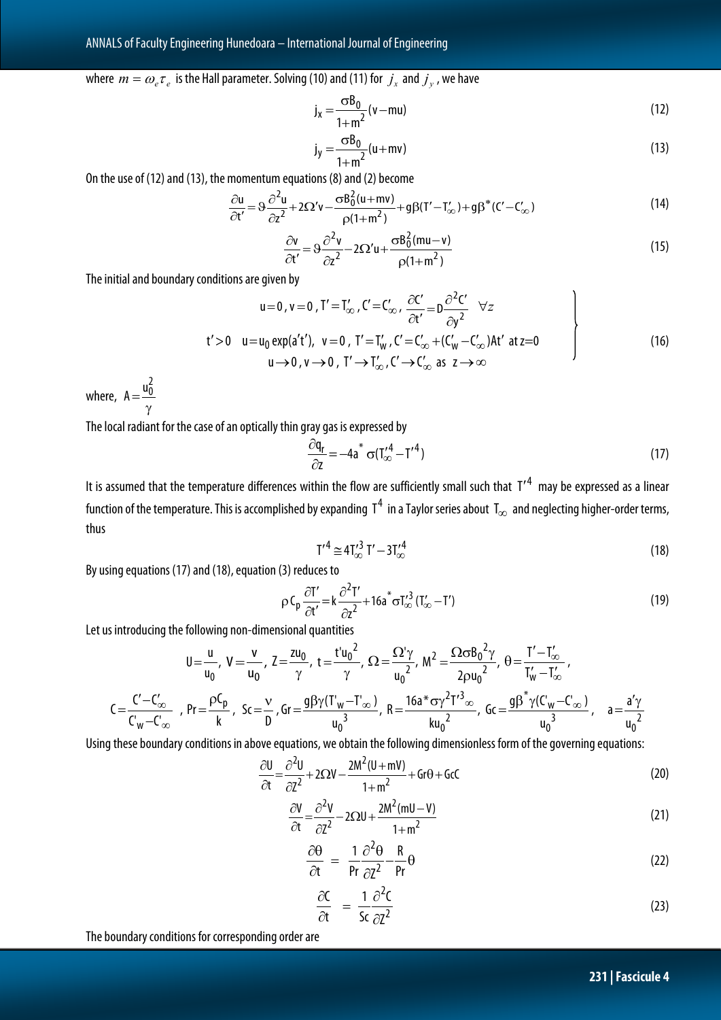## where  $m = \omega_e \tau_e$  is the Hall parameter. Solving (10) and (11) for  $j_x$  and  $j_y$ , we have

$$
j_x = \frac{\sigma B_0}{1 + m^2} (v - mu)
$$
 (12)

$$
j_y = \frac{\sigma B_0}{1 + m^2} (u + mv)
$$
\n(13)

On the use of (12) and (13), the momentum equations (8) and (2) become

$$
\frac{\partial u}{\partial t'} = \vartheta \frac{\partial^2 u}{\partial z^2} + 2\Omega' v - \frac{\sigma \beta_0^2 (u + mv)}{\rho (1 + m^2)} + g\beta (T' - T'_{\infty}) + g\beta^* (C' - C'_{\infty})
$$
\n(14)

$$
\frac{\partial v}{\partial t'} = 9 \frac{\partial^2 v}{\partial z^2} - 2\Omega' u + \frac{\sigma B_0^2 (mu - v)}{\rho (1 + m^2)}
$$
(15)

The initial and boundary conditions are given by

$$
u=0, v=0, T'=T'_{\infty}, C'=C'_{\infty}, \frac{\partial C'}{\partial t'}=D\frac{\partial^2 C'}{\partial y^2} \quad \forall z
$$
  
\n
$$
t'>0 \quad u=u_0 \exp(a't'), \ v=0, T'=T'_{w}, C'=C'_{\infty}+(C'_{w}-C'_{\infty})At' \ at z=0
$$
  
\n
$$
u\rightarrow 0, v\rightarrow 0, T'\rightarrow T'_{\infty}, C'\rightarrow C'_{\infty} \ as \ z\rightarrow \infty
$$
\n(16)

where,  $A = \frac{dC}{\gamma}$  $A = \frac{u_0^2}{2}$ 

The local radiant for the case of an optically thin gray gas is expressed by

$$
\frac{\partial q_r}{\partial z} = -4a^* \sigma (T'_{\infty}^4 - T'^4)
$$
\n(17)

It is assumed that the temperature differences within the flow are sufficiently small such that  $T'^4$  may be expressed as a linear function of the temperature. This is accomplished by expanding  $\rm\,T}^4\,$  in a Taylor series about  $\rm\,T_\infty$  and neglecting higher-order terms, thus

$$
{T'}^4 \cong 4T'_{\infty}^3 T' - 3T'^4_{\infty} \tag{18}
$$

By using equations (17) and (18), equation (3) reduces to

$$
\rho C_p \frac{\partial T'}{\partial t'} = k \frac{\partial^2 T'}{\partial z^2} + 16a^* \sigma T_{\infty}'^3 (T_{\infty}' - T')
$$
\n(19)

Let us introducing the following non-dimensional quantities

$$
U = \frac{u}{u_0}, \ V = \frac{v}{u_0}, \ Z = \frac{zu_0}{\gamma}, \ t = \frac{t'u_0^2}{\gamma}, \ \Omega = \frac{\Omega^{'\gamma}}{u_0^2}, \ M^2 = \frac{\Omega \sigma B_0^2 \gamma}{2 \rho u_0^2}, \ \theta = \frac{T' - T'_{\infty}}{T'_{w} - T'_{\infty}},
$$
  

$$
C = \frac{C' - C'_{\infty}}{C'_{w} - C'_{\infty}}, \ \ Pr = \frac{\rho C_p}{k}, \ \ Sc = \frac{v}{D}, \text{Gr} = \frac{g\beta\gamma(T'_{w} - T'_{\infty})}{u_0^3}, \ \ R = \frac{16a^* \sigma \gamma^2 T'^3}{ku_0^2}, \ \ Gc = \frac{g\beta^* \gamma(C'_{w} - C'_{\infty})}{u_0^3}, \quad a = \frac{a'\gamma}{u_0^2}
$$

Using these boundary conditions in above equations, we obtain the following dimensionless form of the governing equations:

$$
\frac{\partial U}{\partial t} = \frac{\partial^2 U}{\partial Z^2} + 2\Omega V - \frac{2M^2(U+mV)}{1+m^2} + Gr\theta + GC
$$
\n(20)

$$
\frac{\partial V}{\partial t} = \frac{\partial^2 V}{\partial Z^2} - 2\Omega U + \frac{2M^2 (mU - V)}{1 + m^2}
$$
\n(21)

$$
\frac{\partial \theta}{\partial t} = \frac{1}{Pr} \frac{\partial^2 \theta}{\partial Z^2} - \frac{R}{Pr} \theta
$$
 (22)

$$
\frac{\partial C}{\partial t} = \frac{1}{5c} \frac{\partial^2 C}{\partial z^2}
$$
 (23)

The boundary conditions for corresponding order are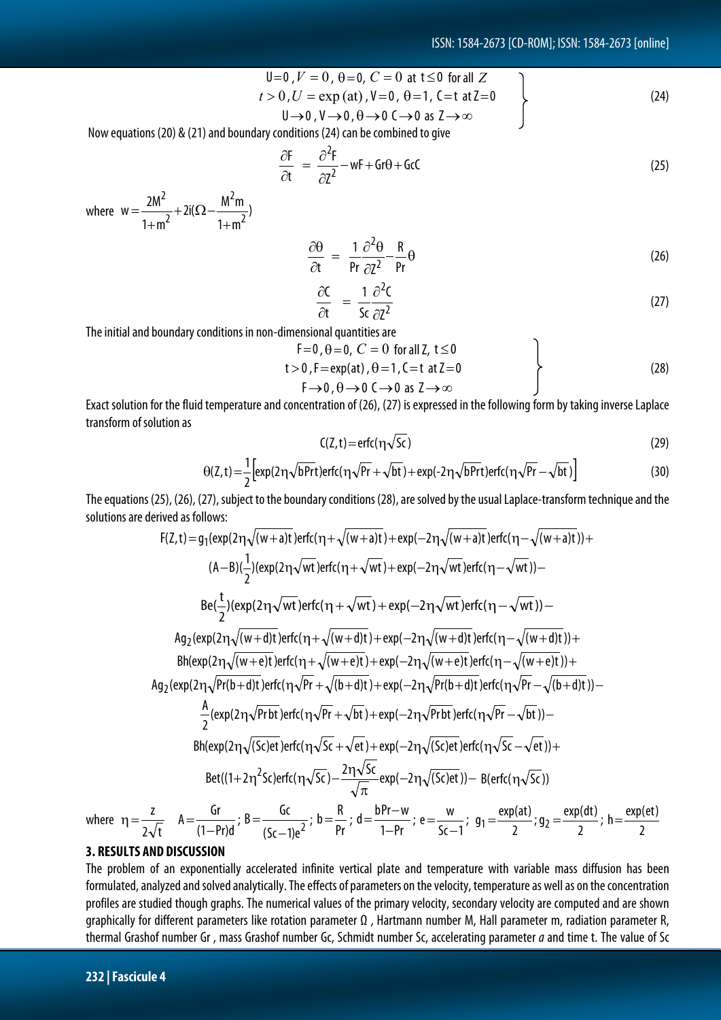$$
U=0, V = 0, \theta=0, C = 0 \text{ at } t \le 0 \text{ for all } Z
$$
  
\n
$$
t > 0, U = \exp(\text{at}), V=0, \theta=1, C=t \text{ at } Z=0
$$
  
\n
$$
U \rightarrow 0, V \rightarrow 0, \theta \rightarrow 0 \text{ C} \rightarrow 0 \text{ as } Z \rightarrow \infty
$$
\n(24)

Now equations (20) & (21) and boundary conditions (24) can be combined to give

$$
\frac{\partial F}{\partial t} = \frac{\partial^2 F}{\partial Z^2} - wF + Gr\theta + GC \tag{25}
$$

where  $W = \frac{2m}{2} + 2i(\Omega - \frac{m}{2})$  $1 + m$  $2i(\Omega - \frac{M^2m}{2})$  $1 + m$  $w = \frac{2M^2}{1+m^2} + 2i(\Omega - \frac{M^2m}{1+m^2})$ 2 2 2  $=\frac{2m}{1+m^2}+2i(\Omega-\frac{m}{1+m^2})$ 

$$
\frac{\partial \theta}{\partial t} = \frac{1}{\rho r} \frac{\partial^2 \theta}{\partial z^2} - \frac{R}{\rho r} \theta \tag{26}
$$

$$
\frac{\partial C}{\partial t} = \frac{1}{5c} \frac{\partial^2 C}{\partial z^2}
$$
 (27)

The initial and boundary conditions in non-dimensional quantities are

$$
F=0, \theta=0, C=0 \text{ for all } Z, t \le 0
$$
  
\n
$$
t>0, F=exp(at), \theta=1, C=t \text{ at } Z=0
$$
  
\n
$$
F\rightarrow 0, \theta \rightarrow 0 \text{ } C \rightarrow 0 \text{ as } Z \rightarrow \infty
$$
 (28)

Exact solution for the fluid temperature and concentration of (26), (27) is expressed in the following form by taking inverse Laplace transform of solution as

$$
C(Z,t) = \text{erfc}(\eta \sqrt{Sc})
$$
 (29)

$$
\Theta(Z,t) = \frac{1}{2} \Big[ exp(2\eta \sqrt{bPrt})erfc(\eta \sqrt{Pr} + \sqrt{bt}) + exp(-2\eta \sqrt{bPrt})erfc(\eta \sqrt{Pr} - \sqrt{bt}) \Big]
$$
(30)

The equations (25), (26), (27), subject to the boundary conditions (28), are solved by the usual Laplace-transform technique and the solutions are derived as follows:

$$
F(Z,t) = g_1(\exp(2\eta\sqrt{(w+a)t})erfc(\eta + \sqrt{(w+a)t}) + \exp(-2\eta\sqrt{(w+a)t})erfc(\eta - \sqrt{(w+a)t})) +
$$
\n
$$
(A-B)(\frac{1}{2})(\exp(2\eta\sqrt{wt})erfc(\eta + \sqrt{wt}) + \exp(-2\eta\sqrt{wt})erfc(\eta - \sqrt{wt})) -
$$
\n
$$
Be(\frac{t}{2})(\exp(2\eta\sqrt{wt})erfc(\eta + \sqrt{wt}) + \exp(-2\eta\sqrt{wt})erfc(\eta - \sqrt{wt})) -
$$
\n
$$
Ag_2(\exp(2\eta\sqrt{(w+d)t})erfc(\eta + \sqrt{(w+d)t}) + \exp(-2\eta\sqrt{(w+d)t})erfc(\eta - \sqrt{(w+d)t})) +
$$
\n
$$
Bf(\exp(2\eta\sqrt{(w+e)t})erfc(\eta + \sqrt{(w+e)t}) + \exp(-2\eta\sqrt{(w+e)t})erfc(\eta - \sqrt{(w+e)t}))+
$$
\n
$$
Ag_2(\exp(2\eta\sqrt{Pr(b+d)t})erfc(\eta\sqrt{Pr} + \sqrt{(b+d)t}) + \exp(-2\eta\sqrt{Pr(b+d)t})erfc(\eta\sqrt{Pr} - \sqrt{(b+d)t})) -
$$
\n
$$
\frac{A}{2}(\exp(2\eta\sqrt{Pr(b)t})erfc(\eta\sqrt{Pr} + \sqrt{bt}) + \exp(-2\eta\sqrt{Pr(bt)})erfc(\eta\sqrt{Pr} - \sqrt{bt})) -
$$
\n
$$
Bf(\exp(2\eta\sqrt{(Sc)et})erfc(\eta\sqrt{Sc} + \sqrt{et}) + \exp(-2\eta\sqrt{(Sc)et})erfc(\eta\sqrt{Sc} - \sqrt{et})) +
$$
\n
$$
Bf(\exp(2\eta\sqrt{(Sc)et})erfc(\eta\sqrt{Sc}) - \frac{2\eta\sqrt{Sc}}{\sqrt{\pi}}exp(-2\eta\sqrt{(Sc)et}) - B(erfc(\eta\sqrt{Sc}))
$$
\nwhere 
$$
\eta = \frac{z}{2\sqrt{t}} \qquad A = \frac{Gr}{(1-Pr)d}; \qquad B = \frac{Gc}{(Sc-1)e^2}; \qquad b = \frac{B}{pr}; \qquad d = \frac{bPr - w}{1-Pr}; \qquad e = \frac{w}{Sc-1}; \qquad g_1 = \frac{\exp(at)}{2}; \qquad g_2 = \frac{\exp(dt)}{2}; \qquad h =
$$

**3. RESULTS AND DISCUSSION**

The problem of an exponentially accelerated infinite vertical plate and temperature with variable mass diffusion has been formulated, analyzed and solved analytically. The effects of parameters on the velocity, temperature as well as on the concentration profiles are studied though graphs. The numerical values of the primary velocity, secondary velocity are computed and are shown graphically for different parameters like rotation parameter Ω , Hartmann number M, Hall parameter m, radiation parameter R, thermal Grashof number Gr , mass Grashof number Gc, Schmidt number Sc, accelerating parameter *a* and time t. The value of Sc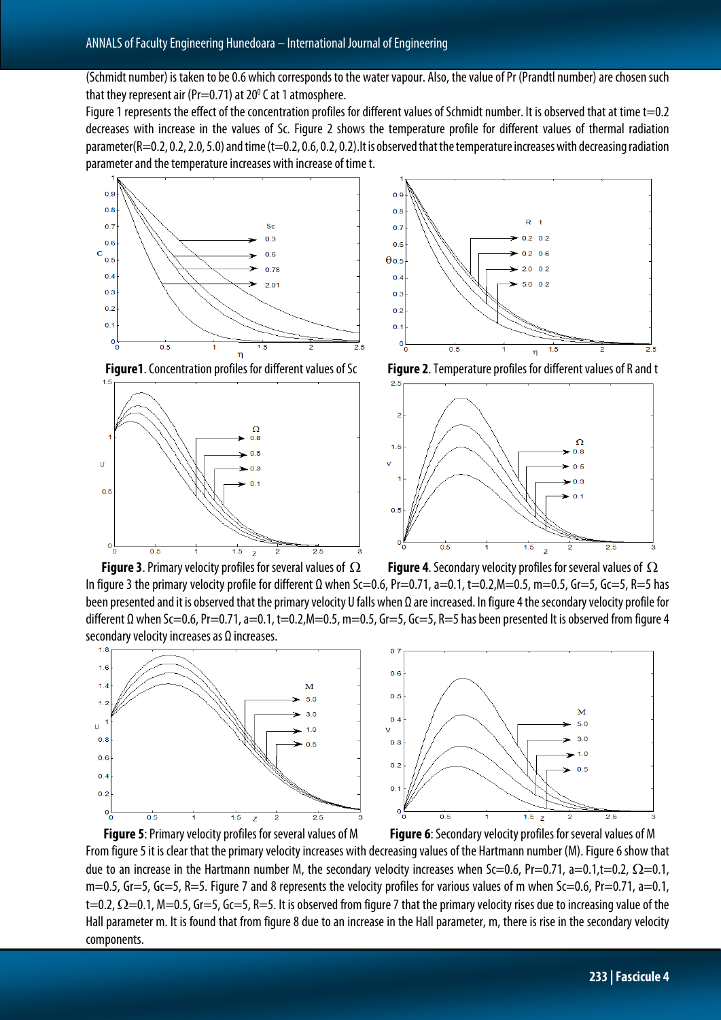(Schmidt number) is taken to be 0.6 which corresponds to the water vapour. Also, the value of Pr (Prandtl number) are chosen such that they represent air (Pr=0.71) at  $20^{\circ}$  C at 1 atmosphere.

Figure 1 represents the effect of the concentration profiles for different values of Schmidt number. It is observed that at time t=0.2 decreases with increase in the values of Sc. Figure 2 shows the temperature profile for different values of thermal radiation parameter(R=0.2, 0.2, 2.0, 5.0) and time (t=0.2, 0.6, 0.2, 0.2). It is observed that the temperature increases with decreasing radiation parameter and the temperature increases with increase of time t.



**Figure1**. Concentration profiles for different values of Sc **Figure 2**. Temperature profiles for different values of R and t







**Figure 3**. Primary velocity profiles for several values of Ω **Figure 4**. Secondary velocity profiles for severalvalues of Ω In figure 3 the primary velocity profile for different Ω when Sc=0.6, Pr=0.71, a=0.1, t=0.2,M=0.5, m=0.5, Gr=5, Gc=5, R=5 has been presented and it is observed that the primary velocity U falls when Ω are increased. In figure 4 the secondary velocity profile for different  $\Omega$  when Sc=0.6, Pr=0.71, a=0.1, t=0.2,M=0.5, m=0.5, Gr=5, Gc=5, R=5 has been presented It is observed from figure 4 secondary velocity increases as Ω increases.





**Figure 5**: Primary velocity profiles for several values of M **Figure 6**: Secondary velocity profiles for several values of M From figure 5 it is clear that the primary velocity increases with decreasing values of the Hartmann number (M). Figure 6 show that due to an increase in the Hartmann number M, the secondary velocity increases when Sc=0.6, Pr=0.71, a=0.1,t=0.2,  $\Omega$ =0.1,  $m=0.5$ , Gr=5, Gc=5, R=5. Figure 7 and 8 represents the velocity profiles for various values of m when Sc=0.6, Pr=0.71, a=0.1, t=0.2,  $\Omega$ =0.1, M=0.5, Gr=5, Gc=5, R=5. It is observed from figure 7 that the primary velocity rises due to increasing value of the Hall parameter m. It is found that from figure 8due to an increase in the Hall parameter, m, there is rise in the secondary velocity components.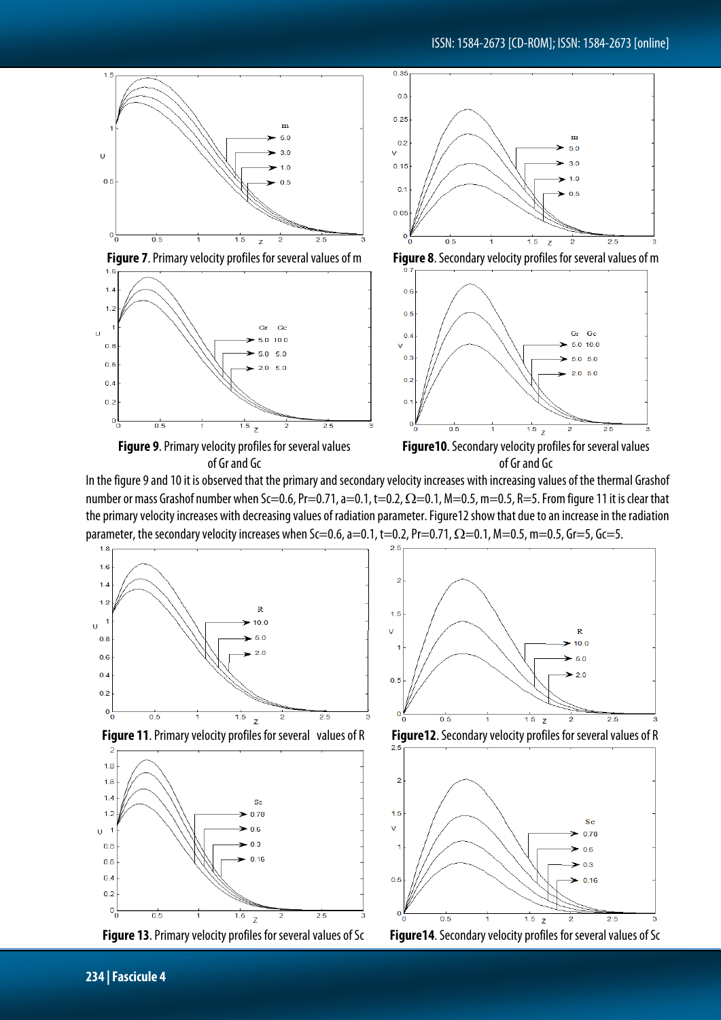

In the figure 9 and 10 it is observed that the primaryand secondary velocity increases with increasing values of the thermal Grashof number or mass Grashof number when Sc=0.6, Pr=0.71, a=0.1, t=0.2,  $\Omega$ =0.1, M=0.5, m=0.5, R=5. From figure 11 it is clear that the primary velocity increases with decreasing values of radiation parameter. Figure12 show that due to an increase in the radiation parameter, the secondary velocity increases when Sc=0.6, a=0.1, t=0.2, Pr=0.71,  $\Omega$ =0.1, M=0.5, m=0.5, Gr=5, Gc=5.







k  $15$  $\vee$  $\overline{R}$  $10.0$  $50$  $-20$  $0.5$  $\overline{0}$  $1.5<sub>z</sub>$  $0.5$  $\overline{25}$ ñ 2





**Figure 13**. Primary velocity profiles for several values of Sc **Figure14**. Secondary velocity profiles for several values of Sc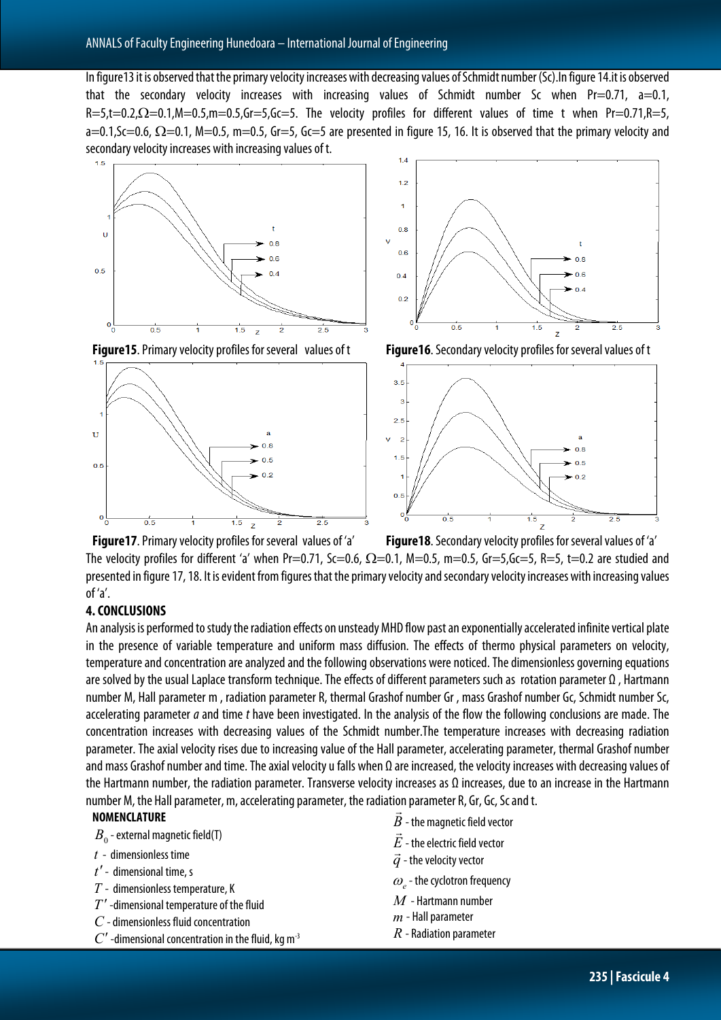In figure13it is observed that the primary velocity increases with decreasing values of Schmidt number (Sc).In figure 14.it is observed that the secondary velocity increases with increasing values of Schmidt number Sc when Pr=0.71, a=0.1, R=5,t=0.2,Ω=0.1,M=0.5,m=0.5,Gr=5,Gc=5. The velocity profiles for different values of time t when Pr=0.71,R=5,  $a=0.1$ , Sc=0.6,  $\Omega$ =0.1, M=0.5, m=0.5, Gr=5, Gc=5 are presented in figure 15, 16. It is observed that the primary velocity and secondary velocity increases with increasing values of t.













 $\frac{1}{2}$   $\frac{1}{2}$   $\frac{1}{2}$   $\frac{1}{2}$   $\frac{1}{2}$   $\frac{1}{2}$   $\frac{1}{2}$   $\frac{1}{2}$   $\frac{1}{2}$   $\frac{1}{2}$   $\frac{1}{2}$   $\frac{1}{2}$   $\frac{1}{2}$   $\frac{1}{2}$   $\frac{1}{2}$   $\frac{1}{2}$   $\frac{1}{2}$   $\frac{1}{2}$   $\frac{1}{2}$   $\frac{1}{2}$   $\frac{1}{2}$   $\frac{1}{2}$  The velocity profiles for different 'a' when Pr=0.71, Sc=0.6,  $\Omega$ =0.1, M=0.5, m=0.5, Gr=5,Gc=5, R=5, t=0.2 are studied and presented in figure 17, 18. It is evident from figures that the primary velocity and secondary velocity increases with increasing values of 'a'.

### **4. CONCLUSIONS**

An analysis is performed to study the radiation effects on unsteady MHD flow past an exponentially accelerated infinite vertical plate in the presence of variable temperature and uniform mass diffusion. The effects of thermo physical parameters on velocity, temperature and concentration are analyzed and the following observations were noticed. The dimensionless governing equations are solved by the usual Laplace transform technique. The effects of different parameters such as rotation parameter Ω , Hartmann number M, Hall parameter m , radiation parameter R, thermal Grashof number Gr , mass Grashof number Gc, Schmidt number Sc, accelerating parameter *a* and time *t* have been investigated. In the analysis of the flow the following conclusions are made. The concentration increases with decreasing values of the Schmidt number.The temperature increases with decreasing radiation parameter. The axial velocity rises due to increasing value of the Hall parameter, accelerating parameter, thermal Grashof number and mass Grashof number and time. The axial velocity u falls when  $\Omega$  are increased, the velocity increases with decreasing values of the Hartmann number, the radiation parameter. Transverse velocity increases as Ω increases, due to an increase in the Hartmann number M, the Hall parameter, m, accelerating parameter, the radiation parameter R, Gr, Gc, Sc and t.<br>Note of the same of the same of the same of the same of the same same terminal space of the same same same ter

### **NOMENCLATURE**



- *t* dimensionless time
- *t*′- dimensional time, s
- *T* dimensionless temperature, K
- *T*′ -dimensional temperature of the fluid
- *C* -dimensionless fluid concentration
- $C'$  -dimensional concentration in the fluid, kg m<sup>-3</sup>
- $B$  the magnetic field vector<br> $\vec{B}$
- $E$  the electric field vector
- $\vec{q}$  the velocity vector
- $\omega$ <sub>e</sub> the cyclotron frequency
- *M* Hartmann number
- *m* Hall parameter
- *R* Radiation parameter